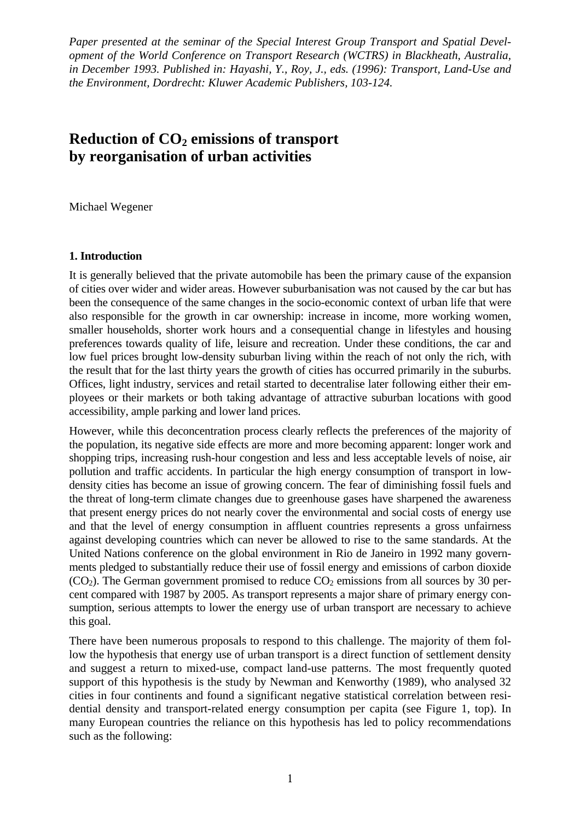*Paper presented at the seminar of the Special Interest Group Transport and Spatial Development of the World Conference on Transport Research (WCTRS) in Blackheath, Australia, in December 1993. Published in: Hayashi, Y., Roy, J., eds. (1996): Transport, Land-Use and the Environment, Dordrecht: Kluwer Academic Publishers, 103-124.*

# **Reduction of CO<sub>2</sub> emissions of transport by reorganisation of urban activities**

Michael Wegener

# **1. Introduction**

It is generally believed that the private automobile has been the primary cause of the expansion of cities over wider and wider areas. However suburbanisation was not caused by the car but has been the consequence of the same changes in the socio-economic context of urban life that were also responsible for the growth in car ownership: increase in income, more working women, smaller households, shorter work hours and a consequential change in lifestyles and housing preferences towards quality of life, leisure and recreation. Under these conditions, the car and low fuel prices brought low-density suburban living within the reach of not only the rich, with the result that for the last thirty years the growth of cities has occurred primarily in the suburbs. Offices, light industry, services and retail started to decentralise later following either their employees or their markets or both taking advantage of attractive suburban locations with good accessibility, ample parking and lower land prices.

However, while this deconcentration process clearly reflects the preferences of the majority of the population, its negative side effects are more and more becoming apparent: longer work and shopping trips, increasing rush-hour congestion and less and less acceptable levels of noise, air pollution and traffic accidents. In particular the high energy consumption of transport in lowdensity cities has become an issue of growing concern. The fear of diminishing fossil fuels and the threat of long-term climate changes due to greenhouse gases have sharpened the awareness that present energy prices do not nearly cover the environmental and social costs of energy use and that the level of energy consumption in affluent countries represents a gross unfairness against developing countries which can never be allowed to rise to the same standards. At the United Nations conference on the global environment in Rio de Janeiro in 1992 many governments pledged to substantially reduce their use of fossil energy and emissions of carbon dioxide  $(CO<sub>2</sub>)$ . The German government promised to reduce  $CO<sub>2</sub>$  emissions from all sources by 30 percent compared with 1987 by 2005. As transport represents a major share of primary energy consumption, serious attempts to lower the energy use of urban transport are necessary to achieve this goal.

There have been numerous proposals to respond to this challenge. The majority of them follow the hypothesis that energy use of urban transport is a direct function of settlement density and suggest a return to mixed-use, compact land-use patterns. The most frequently quoted support of this hypothesis is the study by Newman and Kenworthy (1989), who analysed 32 cities in four continents and found a significant negative statistical correlation between residential density and transport-related energy consumption per capita (see Figure 1, top). In many European countries the reliance on this hypothesis has led to policy recommendations such as the following: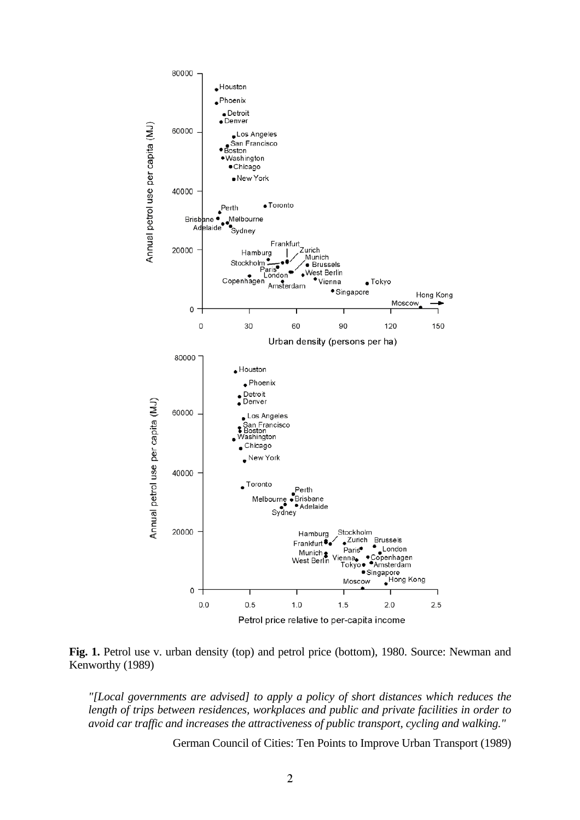

Fig. 1. Petrol use v. urban density (top) and petrol price (bottom), 1980. Source: Newman and Kenworthy (1989)

*"[Local governments are advised] to apply a policy of short distances which reduces the length of trips between residences, workplaces and public and private facilities in order to avoid car traffic and increases the attractiveness of public transport, cycling and walking."*

German Council of Cities: Ten Points to Improve Urban Transport (1989)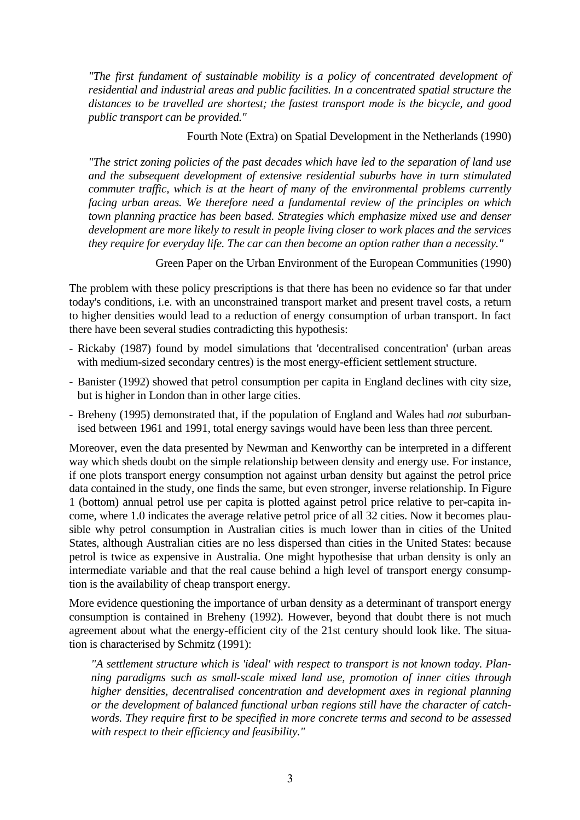*"The first fundament of sustainable mobility is a policy of concentrated development of residential and industrial areas and public facilities. In a concentrated spatial structure the distances to be travelled are shortest; the fastest transport mode is the bicycle, and good public transport can be provided."*

# Fourth Note (Extra) on Spatial Development in the Netherlands (1990)

*"The strict zoning policies of the past decades which have led to the separation of land use and the subsequent development of extensive residential suburbs have in turn stimulated commuter traffic, which is at the heart of many of the environmental problems currently facing urban areas. We therefore need a fundamental review of the principles on which town planning practice has been based. Strategies which emphasize mixed use and denser development are more likely to result in people living closer to work places and the services they require for everyday life. The car can then become an option rather than a necessity."*

Green Paper on the Urban Environment of the European Communities (1990)

The problem with these policy prescriptions is that there has been no evidence so far that under today's conditions, i.e. with an unconstrained transport market and present travel costs, a return to higher densities would lead to a reduction of energy consumption of urban transport. In fact there have been several studies contradicting this hypothesis:

- Rickaby (1987) found by model simulations that 'decentralised concentration' (urban areas with medium-sized secondary centres) is the most energy-efficient settlement structure.
- Banister (1992) showed that petrol consumption per capita in England declines with city size, but is higher in London than in other large cities.
- Breheny (1995) demonstrated that, if the population of England and Wales had *not* suburbanised between 1961 and 1991, total energy savings would have been less than three percent.

Moreover, even the data presented by Newman and Kenworthy can be interpreted in a different way which sheds doubt on the simple relationship between density and energy use. For instance, if one plots transport energy consumption not against urban density but against the petrol price data contained in the study, one finds the same, but even stronger, inverse relationship. In Figure 1 (bottom) annual petrol use per capita is plotted against petrol price relative to per-capita income, where 1.0 indicates the average relative petrol price of all 32 cities. Now it becomes plausible why petrol consumption in Australian cities is much lower than in cities of the United States, although Australian cities are no less dispersed than cities in the United States: because petrol is twice as expensive in Australia. One might hypothesise that urban density is only an intermediate variable and that the real cause behind a high level of transport energy consumption is the availability of cheap transport energy.

More evidence questioning the importance of urban density as a determinant of transport energy consumption is contained in Breheny (1992). However, beyond that doubt there is not much agreement about what the energy-efficient city of the 21st century should look like. The situation is characterised by Schmitz (1991):

*"A settlement structure which is 'ideal' with respect to transport is not known today. Planning paradigms such as small-scale mixed land use, promotion of inner cities through higher densities, decentralised concentration and development axes in regional planning or the development of balanced functional urban regions still have the character of catchwords. They require first to be specified in more concrete terms and second to be assessed with respect to their efficiency and feasibility."*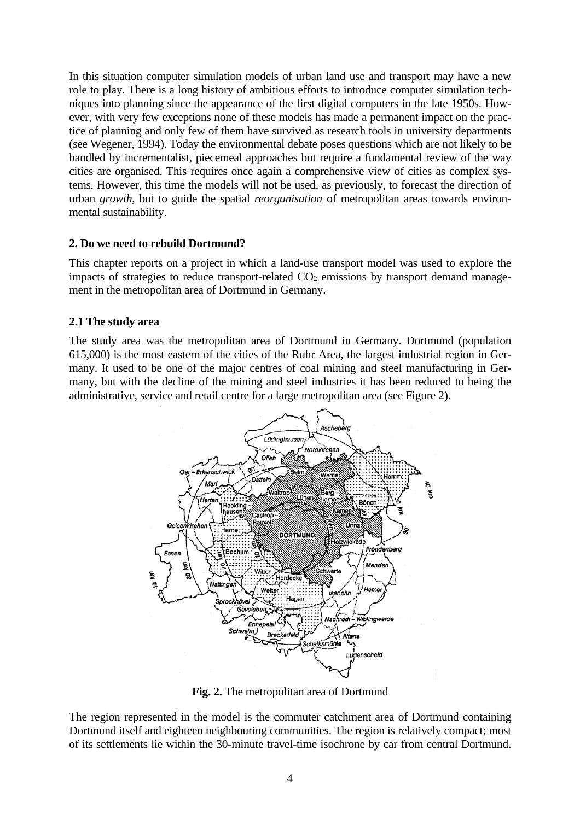In this situation computer simulation models of urban land use and transport may have a new role to play. There is a long history of ambitious efforts to introduce computer simulation techniques into planning since the appearance of the first digital computers in the late 1950s. However, with very few exceptions none of these models has made a permanent impact on the practice of planning and only few of them have survived as research tools in university departments (see Wegener, 1994). Today the environmental debate poses questions which are not likely to be handled by incrementalist, piecemeal approaches but require a fundamental review of the way cities are organised. This requires once again a comprehensive view of cities as complex systems. However, this time the models will not be used, as previously, to forecast the direction of urban *growth*, but to guide the spatial *reorganisation* of metropolitan areas towards environmental sustainability.

## **2. Do we need to rebuild Dortmund?**

This chapter reports on a project in which a land-use transport model was used to explore the impacts of strategies to reduce transport-related  $CO<sub>2</sub>$  emissions by transport demand management in the metropolitan area of Dortmund in Germany.

## **2.1 The study area**

The study area was the metropolitan area of Dortmund in Germany. Dortmund (population 615,000) is the most eastern of the cities of the Ruhr Area, the largest industrial region in Germany. It used to be one of the major centres of coal mining and steel manufacturing in Germany, but with the decline of the mining and steel industries it has been reduced to being the administrative, service and retail centre for a large metropolitan area (see Figure 2).



**Fig. 2.** The metropolitan area of Dortmund

The region represented in the model is the commuter catchment area of Dortmund containing Dortmund itself and eighteen neighbouring communities. The region is relatively compact; most of its settlements lie within the 30-minute travel-time isochrone by car from central Dortmund.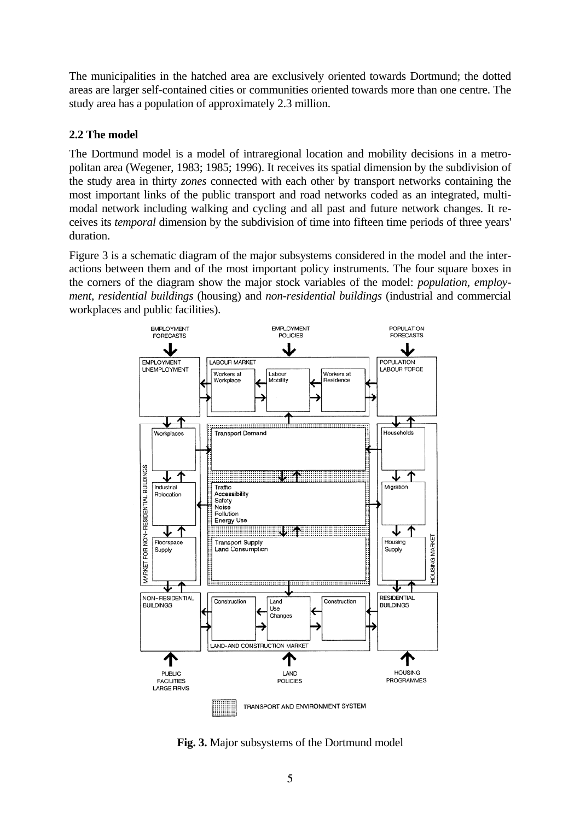The municipalities in the hatched area are exclusively oriented towards Dortmund; the dotted areas are larger self-contained cities or communities oriented towards more than one centre. The study area has a population of approximately 2.3 million.

# **2.2 The model**

The Dortmund model is a model of intraregional location and mobility decisions in a metropolitan area (Wegener, 1983; 1985; 1996). It receives its spatial dimension by the subdivision of the study area in thirty *zones* connected with each other by transport networks containing the most important links of the public transport and road networks coded as an integrated, multimodal network including walking and cycling and all past and future network changes. It receives its *temporal* dimension by the subdivision of time into fifteen time periods of three years' duration.

Figure 3 is a schematic diagram of the major subsystems considered in the model and the interactions between them and of the most important policy instruments. The four square boxes in the corners of the diagram show the major stock variables of the model: *population*, *employment*, *residential buildings* (housing) and *non-residential buildings* (industrial and commercial workplaces and public facilities).



**Fig. 3.** Major subsystems of the Dortmund model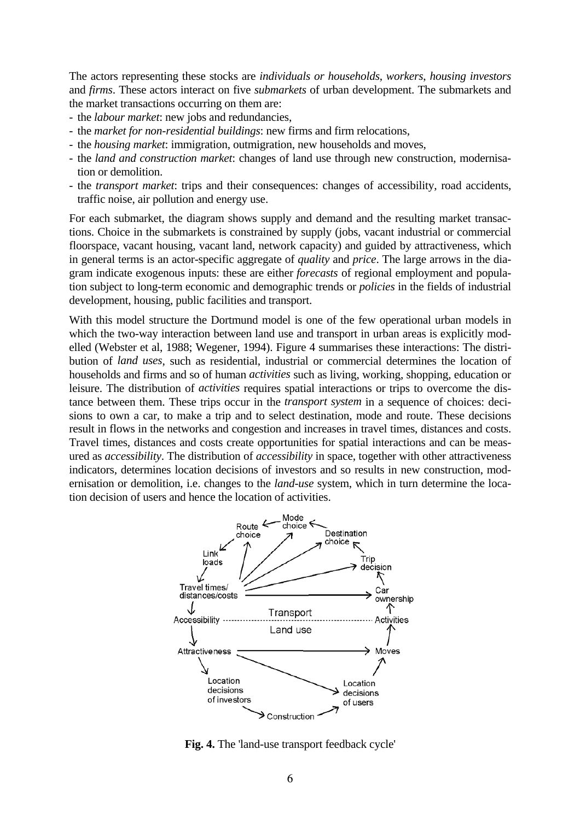The actors representing these stocks are *individuals or households*, *workers*, *housing investors* and *firms*. These actors interact on five *submarkets* of urban development. The submarkets and the market transactions occurring on them are:

- the *labour market*: new jobs and redundancies,
- the *market for non-residential buildings*: new firms and firm relocations,
- the *housing market*: immigration, outmigration, new households and moves,
- the *land and construction market*: changes of land use through new construction, modernisation or demolition.
- the *transport market*: trips and their consequences: changes of accessibility, road accidents, traffic noise, air pollution and energy use.

For each submarket, the diagram shows supply and demand and the resulting market transactions. Choice in the submarkets is constrained by supply (jobs, vacant industrial or commercial floorspace, vacant housing, vacant land, network capacity) and guided by attractiveness, which in general terms is an actor-specific aggregate of *quality* and *price*. The large arrows in the diagram indicate exogenous inputs: these are either *forecasts* of regional employment and population subject to long-term economic and demographic trends or *policies* in the fields of industrial development, housing, public facilities and transport.

With this model structure the Dortmund model is one of the few operational urban models in which the two-way interaction between land use and transport in urban areas is explicitly modelled (Webster et al, 1988; Wegener, 1994). Figure 4 summarises these interactions: The distribution of *land uses*, such as residential, industrial or commercial determines the location of households and firms and so of human *activities* such as living, working, shopping, education or leisure. The distribution of *activities* requires spatial interactions or trips to overcome the distance between them. These trips occur in the *transport system* in a sequence of choices: decisions to own a car, to make a trip and to select destination, mode and route. These decisions result in flows in the networks and congestion and increases in travel times, distances and costs. Travel times, distances and costs create opportunities for spatial interactions and can be measured as *accessibility*. The distribution of *accessibility* in space, together with other attractiveness indicators, determines location decisions of investors and so results in new construction, modernisation or demolition, i.e. changes to the *land-use* system, which in turn determine the location decision of users and hence the location of activities.



**Fig. 4.** The 'land-use transport feedback cycle'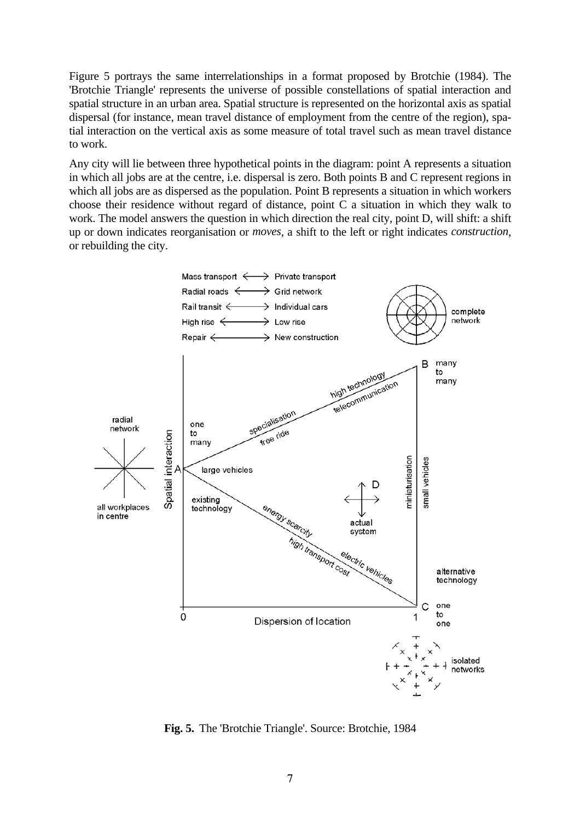Figure 5 portrays the same interrelationships in a format proposed by Brotchie (1984). The 'Brotchie Triangle' represents the universe of possible constellations of spatial interaction and spatial structure in an urban area. Spatial structure is represented on the horizontal axis as spatial dispersal (for instance, mean travel distance of employment from the centre of the region), spatial interaction on the vertical axis as some measure of total travel such as mean travel distance to work.

Any city will lie between three hypothetical points in the diagram: point A represents a situation in which all jobs are at the centre, i.e. dispersal is zero. Both points B and C represent regions in which all jobs are as dispersed as the population. Point B represents a situation in which workers choose their residence without regard of distance, point C a situation in which they walk to work. The model answers the question in which direction the real city, point D, will shift: a shift up or down indicates reorganisation or *moves*, a shift to the left or right indicates *construction*, or rebuilding the city.



**Fig. 5.** The 'Brotchie Triangle'. Source: Brotchie, 1984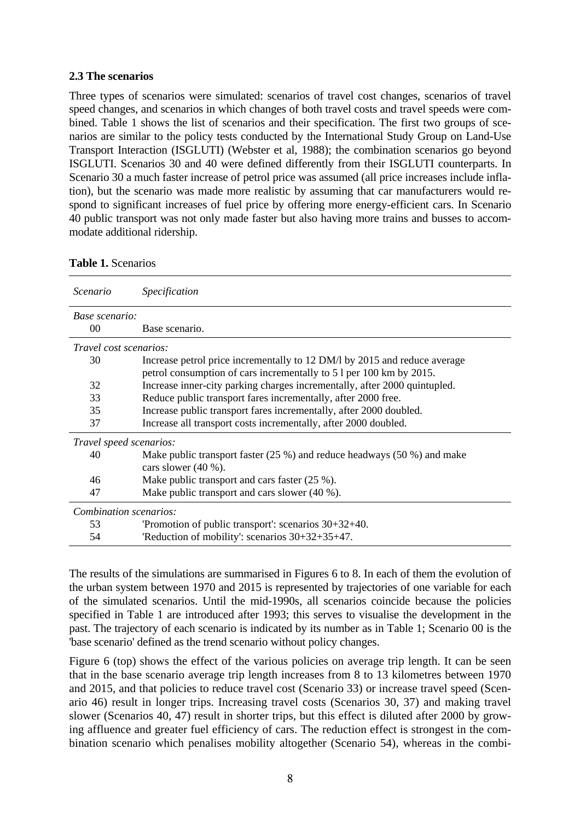#### **2.3 The scenarios**

Three types of scenarios were simulated: scenarios of travel cost changes, scenarios of travel speed changes, and scenarios in which changes of both travel costs and travel speeds were combined. Table 1 shows the list of scenarios and their specification. The first two groups of scenarios are similar to the policy tests conducted by the International Study Group on Land-Use Transport Interaction (ISGLUTI) (Webster et al, 1988); the combination scenarios go beyond ISGLUTI. Scenarios 30 and 40 were defined differently from their ISGLUTI counterparts. In Scenario 30 a much faster increase of petrol price was assumed (all price increases include inflation), but the scenario was made more realistic by assuming that car manufacturers would respond to significant increases of fuel price by offering more energy-efficient cars. In Scenario 40 public transport was not only made faster but also having more trains and busses to accommodate additional ridership.

| Scenario                      | <i>Specification</i>                                                                                                                             |  |
|-------------------------------|--------------------------------------------------------------------------------------------------------------------------------------------------|--|
| <i>Base scenario:</i>         |                                                                                                                                                  |  |
| 00                            | Base scenario.                                                                                                                                   |  |
| <i>Travel cost scenarios:</i> |                                                                                                                                                  |  |
| 30                            | Increase petrol price incrementally to 12 DM/l by 2015 and reduce average<br>petrol consumption of cars incrementally to 5 l per 100 km by 2015. |  |
| 32                            | Increase inner-city parking charges incrementally, after 2000 quintupled.                                                                        |  |
| 33                            | Reduce public transport fares incrementally, after 2000 free.                                                                                    |  |
| 35                            | Increase public transport fares incrementally, after 2000 doubled.                                                                               |  |
| 37                            | Increase all transport costs incrementally, after 2000 doubled.                                                                                  |  |
| Travel speed scenarios:       |                                                                                                                                                  |  |
| 40                            | Make public transport faster $(25\%)$ and reduce headways $(50\%)$ and make<br>cars slower $(40\%)$ .                                            |  |
| 46                            | Make public transport and cars faster (25 %).                                                                                                    |  |
| 47                            | Make public transport and cars slower (40 %).                                                                                                    |  |
| <i>Combination scenarios:</i> |                                                                                                                                                  |  |
| 53                            | 'Promotion of public transport': scenarios 30+32+40.                                                                                             |  |
| 54                            | 'Reduction of mobility': scenarios 30+32+35+47.                                                                                                  |  |

|  | <b>Table 1. Scenarios</b> |
|--|---------------------------|
|--|---------------------------|

The results of the simulations are summarised in Figures 6 to 8. In each of them the evolution of the urban system between 1970 and 2015 is represented by trajectories of one variable for each of the simulated scenarios. Until the mid-1990s, all scenarios coincide because the policies specified in Table 1 are introduced after 1993; this serves to visualise the development in the past. The trajectory of each scenario is indicated by its number as in Table 1; Scenario 00 is the 'base scenario' defined as the trend scenario without policy changes.

Figure 6 (top) shows the effect of the various policies on average trip length. It can be seen that in the base scenario average trip length increases from 8 to 13 kilometres between 1970 and 2015, and that policies to reduce travel cost (Scenario 33) or increase travel speed (Scenario 46) result in longer trips. Increasing travel costs (Scenarios 30, 37) and making travel slower (Scenarios 40, 47) result in shorter trips, but this effect is diluted after 2000 by growing affluence and greater fuel efficiency of cars. The reduction effect is strongest in the combination scenario which penalises mobility altogether (Scenario 54), whereas in the combi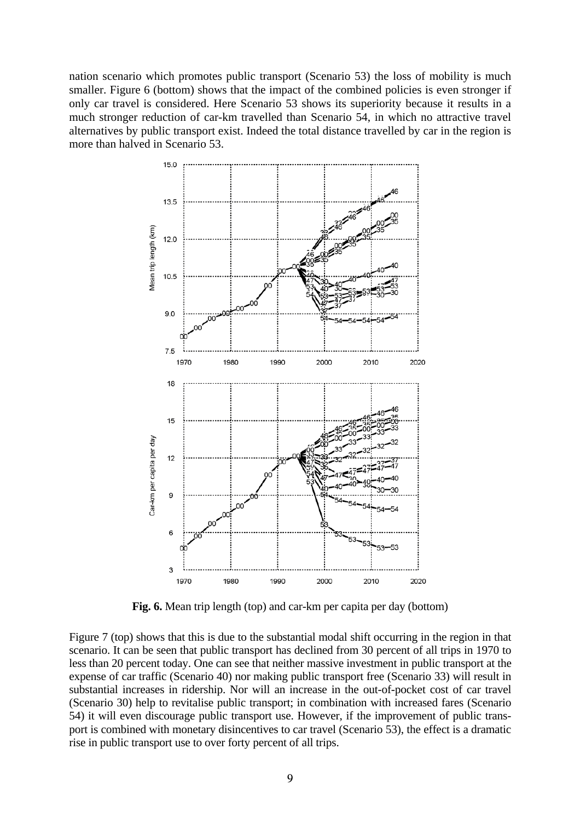nation scenario which promotes public transport (Scenario 53) the loss of mobility is much smaller. Figure 6 (bottom) shows that the impact of the combined policies is even stronger if only car travel is considered. Here Scenario 53 shows its superiority because it results in a much stronger reduction of car-km travelled than Scenario 54, in which no attractive travel alternatives by public transport exist. Indeed the total distance travelled by car in the region is more than halved in Scenario 53.



**Fig. 6.** Mean trip length (top) and car-km per capita per day (bottom)

Figure 7 (top) shows that this is due to the substantial modal shift occurring in the region in that scenario. It can be seen that public transport has declined from 30 percent of all trips in 1970 to less than 20 percent today. One can see that neither massive investment in public transport at the expense of car traffic (Scenario 40) nor making public transport free (Scenario 33) will result in substantial increases in ridership. Nor will an increase in the out-of-pocket cost of car travel (Scenario 30) help to revitalise public transport; in combination with increased fares (Scenario 54) it will even discourage public transport use. However, if the improvement of public transport is combined with monetary disincentives to car travel (Scenario 53), the effect is a dramatic rise in public transport use to over forty percent of all trips.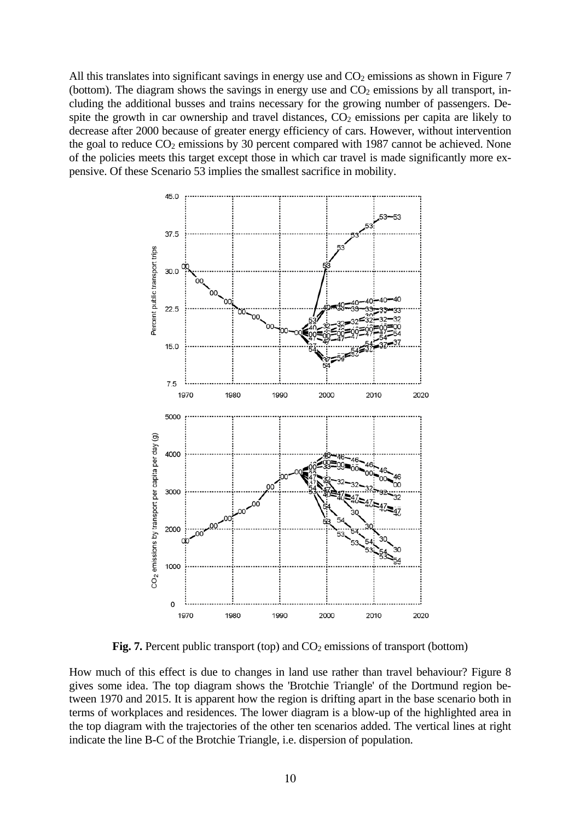All this translates into significant savings in energy use and  $CO<sub>2</sub>$  emissions as shown in Figure 7 (bottom). The diagram shows the savings in energy use and  $CO<sub>2</sub>$  emissions by all transport, including the additional busses and trains necessary for the growing number of passengers. Despite the growth in car ownership and travel distances,  $CO<sub>2</sub>$  emissions per capita are likely to decrease after 2000 because of greater energy efficiency of cars. However, without intervention the goal to reduce  $CO<sub>2</sub>$  emissions by 30 percent compared with 1987 cannot be achieved. None of the policies meets this target except those in which car travel is made significantly more expensive. Of these Scenario 53 implies the smallest sacrifice in mobility.



**Fig. 7.** Percent public transport (top) and CO<sub>2</sub> emissions of transport (bottom)

How much of this effect is due to changes in land use rather than travel behaviour? Figure 8 gives some idea. The top diagram shows the 'Brotchie Triangle' of the Dortmund region between 1970 and 2015. It is apparent how the region is drifting apart in the base scenario both in terms of workplaces and residences. The lower diagram is a blow-up of the highlighted area in the top diagram with the trajectories of the other ten scenarios added. The vertical lines at right indicate the line B-C of the Brotchie Triangle, i.e. dispersion of population.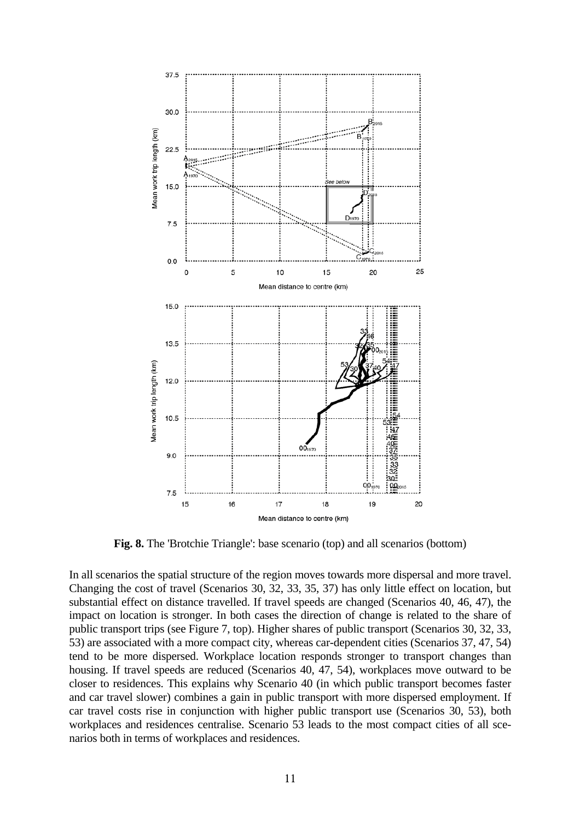

**Fig. 8.** The 'Brotchie Triangle': base scenario (top) and all scenarios (bottom)

In all scenarios the spatial structure of the region moves towards more dispersal and more travel. Changing the cost of travel (Scenarios 30, 32, 33, 35, 37) has only little effect on location, but substantial effect on distance travelled. If travel speeds are changed (Scenarios 40, 46, 47), the impact on location is stronger. In both cases the direction of change is related to the share of public transport trips (see Figure 7, top). Higher shares of public transport (Scenarios 30, 32, 33, 53) are associated with a more compact city, whereas car-dependent cities (Scenarios 37, 47, 54) tend to be more dispersed. Workplace location responds stronger to transport changes than housing. If travel speeds are reduced (Scenarios 40, 47, 54), workplaces move outward to be closer to residences. This explains why Scenario 40 (in which public transport becomes faster and car travel slower) combines a gain in public transport with more dispersed employment. If car travel costs rise in conjunction with higher public transport use (Scenarios 30, 53), both workplaces and residences centralise. Scenario 53 leads to the most compact cities of all scenarios both in terms of workplaces and residences.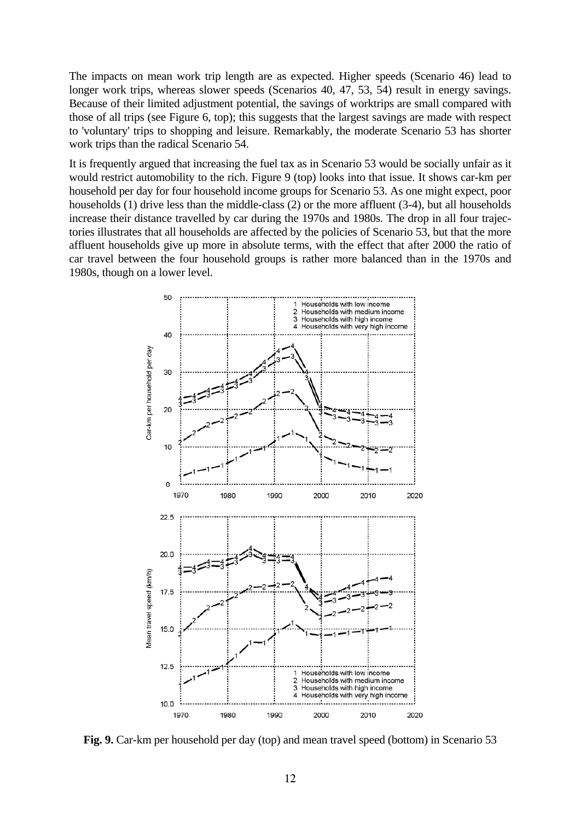The impacts on mean work trip length are as expected. Higher speeds (Scenario 46) lead to longer work trips, whereas slower speeds (Scenarios 40, 47, 53, 54) result in energy savings. Because of their limited adjustment potential, the savings of worktrips are small compared with those of all trips (see Figure 6, top); this suggests that the largest savings are made with respect to 'voluntary' trips to shopping and leisure. Remarkably, the moderate Scenario 53 has shorter work trips than the radical Scenario 54.

It is frequently argued that increasing the fuel tax as in Scenario 53 would be socially unfair as it would restrict automobility to the rich. Figure 9 (top) looks into that issue. It shows car-km per household per day for four household income groups for Scenario 53. As one might expect, poor households (1) drive less than the middle-class (2) or the more affluent (3-4), but all households increase their distance travelled by car during the 1970s and 1980s. The drop in all four trajectories illustrates that all households are affected by the policies of Scenario 53, but that the more affluent households give up more in absolute terms, with the effect that after 2000 the ratio of car travel between the four household groups is rather more balanced than in the 1970s and 1980s, though on a lower level.



**Fig. 9.** Car-km per household per day (top) and mean travel speed (bottom) in Scenario 53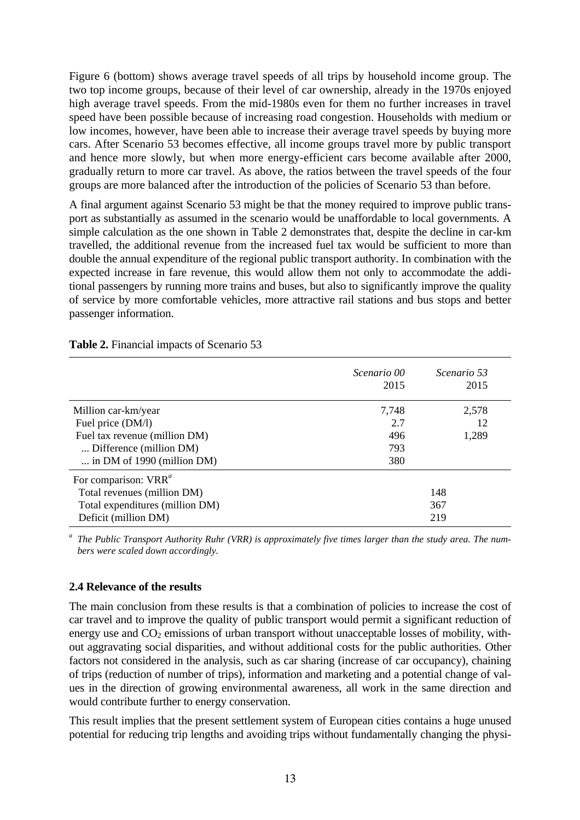Figure 6 (bottom) shows average travel speeds of all trips by household income group. The two top income groups, because of their level of car ownership, already in the 1970s enjoyed high average travel speeds. From the mid-1980s even for them no further increases in travel speed have been possible because of increasing road congestion. Households with medium or low incomes, however, have been able to increase their average travel speeds by buying more cars. After Scenario 53 becomes effective, all income groups travel more by public transport and hence more slowly, but when more energy-efficient cars become available after 2000, gradually return to more car travel. As above, the ratios between the travel speeds of the four groups are more balanced after the introduction of the policies of Scenario 53 than before.

A final argument against Scenario 53 might be that the money required to improve public transport as substantially as assumed in the scenario would be unaffordable to local governments. A simple calculation as the one shown in Table 2 demonstrates that, despite the decline in car-km travelled, the additional revenue from the increased fuel tax would be sufficient to more than double the annual expenditure of the regional public transport authority. In combination with the expected increase in fare revenue, this would allow them not only to accommodate the additional passengers by running more trains and buses, but also to significantly improve the quality of service by more comfortable vehicles, more attractive rail stations and bus stops and better passenger information.

**Table 2.** Financial impacts of Scenario 53

|                                 | Scenario 00<br>2015 | Scenario 53<br>2015 |  |
|---------------------------------|---------------------|---------------------|--|
| Million car-km/year             | 7,748               | 2,578               |  |
| Fuel price (DM/l)               | 2.7                 | 12                  |  |
| Fuel tax revenue (million DM)   | 496                 | 1,289               |  |
| Difference (million DM)         | 793                 |                     |  |
| in DM of $1990$ (million DM)    | 380                 |                     |  |
| For comparison: $VRR^a$         |                     |                     |  |
| Total revenues (million DM)     |                     | 148                 |  |
| Total expenditures (million DM) |                     | 367                 |  |
| Deficit (million DM)            |                     | 219                 |  |

<sup>a</sup> The Public Transport Authority Ruhr (VRR) is approximately five times larger than the study area. The num*bers were scaled down accordingly.*

## **2.4 Relevance of the results**

The main conclusion from these results is that a combination of policies to increase the cost of car travel and to improve the quality of public transport would permit a significant reduction of energy use and CO<sub>2</sub> emissions of urban transport without unacceptable losses of mobility, without aggravating social disparities, and without additional costs for the public authorities. Other factors not considered in the analysis, such as car sharing (increase of car occupancy), chaining of trips (reduction of number of trips), information and marketing and a potential change of values in the direction of growing environmental awareness, all work in the same direction and would contribute further to energy conservation.

This result implies that the present settlement system of European cities contains a huge unused potential for reducing trip lengths and avoiding trips without fundamentally changing the physi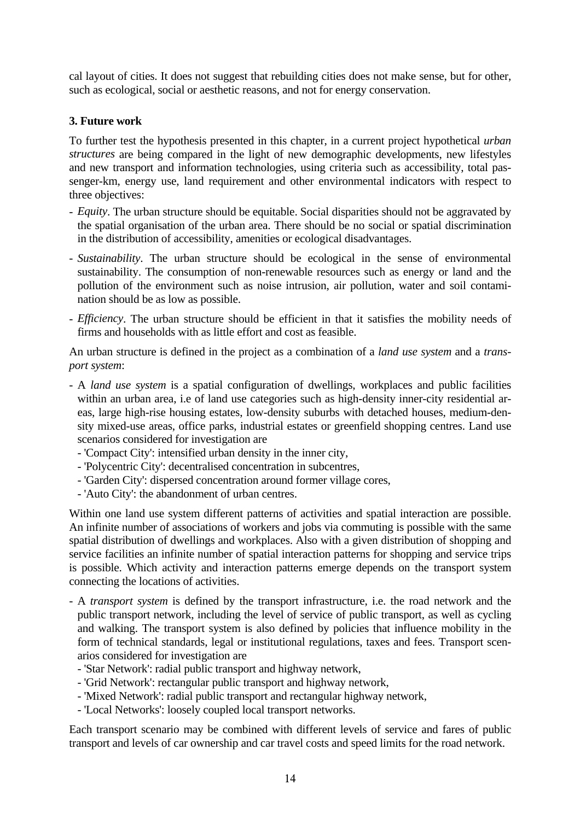cal layout of cities. It does not suggest that rebuilding cities does not make sense, but for other, such as ecological, social or aesthetic reasons, and not for energy conservation.

# **3. Future work**

To further test the hypothesis presented in this chapter, in a current project hypothetical *urban structures* are being compared in the light of new demographic developments, new lifestyles and new transport and information technologies, using criteria such as accessibility, total passenger-km, energy use, land requirement and other environmental indicators with respect to three objectives:

- *Equity*. The urban structure should be equitable. Social disparities should not be aggravated by the spatial organisation of the urban area. There should be no social or spatial discrimination in the distribution of accessibility, amenities or ecological disadvantages.
- *Sustainability*. The urban structure should be ecological in the sense of environmental sustainability. The consumption of non-renewable resources such as energy or land and the pollution of the environment such as noise intrusion, air pollution, water and soil contamination should be as low as possible.
- *Efficiency*. The urban structure should be efficient in that it satisfies the mobility needs of firms and households with as little effort and cost as feasible.

An urban structure is defined in the project as a combination of a *land use system* and a *transport system*:

- A *land use system* is a spatial configuration of dwellings, workplaces and public facilities within an urban area, i.e of land use categories such as high-density inner-city residential areas, large high-rise housing estates, low-density suburbs with detached houses, medium-density mixed-use areas, office parks, industrial estates or greenfield shopping centres. Land use scenarios considered for investigation are
	- 'Compact City': intensified urban density in the inner city,
	- 'Polycentric City': decentralised concentration in subcentres,
	- 'Garden City': dispersed concentration around former village cores,
	- 'Auto City': the abandonment of urban centres.

Within one land use system different patterns of activities and spatial interaction are possible. An infinite number of associations of workers and jobs via commuting is possible with the same spatial distribution of dwellings and workplaces. Also with a given distribution of shopping and service facilities an infinite number of spatial interaction patterns for shopping and service trips is possible. Which activity and interaction patterns emerge depends on the transport system connecting the locations of activities.

- A *transport system* is defined by the transport infrastructure, i.e. the road network and the public transport network, including the level of service of public transport, as well as cycling and walking. The transport system is also defined by policies that influence mobility in the form of technical standards, legal or institutional regulations, taxes and fees. Transport scenarios considered for investigation are
	- 'Star Network': radial public transport and highway network,
	- 'Grid Network': rectangular public transport and highway network,
	- 'Mixed Network': radial public transport and rectangular highway network,
	- 'Local Networks': loosely coupled local transport networks.

Each transport scenario may be combined with different levels of service and fares of public transport and levels of car ownership and car travel costs and speed limits for the road network.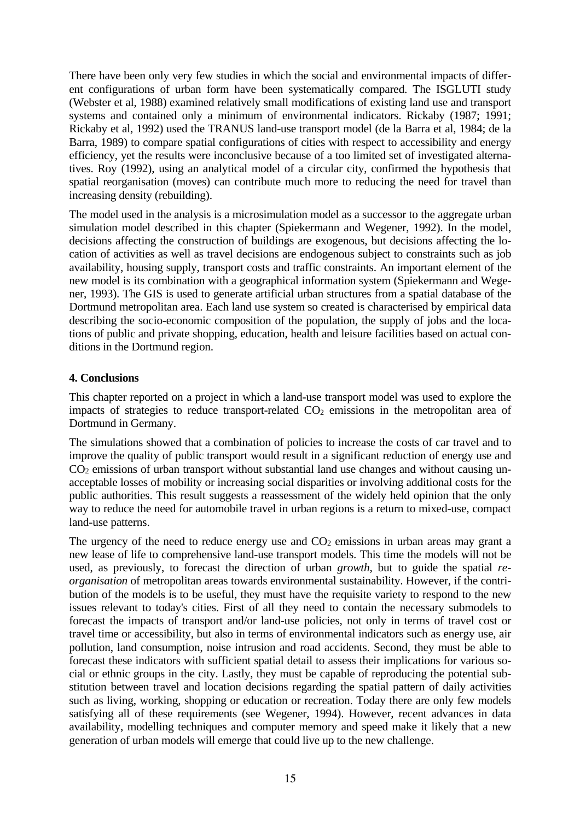There have been only very few studies in which the social and environmental impacts of different configurations of urban form have been systematically compared. The ISGLUTI study (Webster et al, 1988) examined relatively small modifications of existing land use and transport systems and contained only a minimum of environmental indicators. Rickaby (1987; 1991; Rickaby et al, 1992) used the TRANUS land-use transport model (de la Barra et al, 1984; de la Barra, 1989) to compare spatial configurations of cities with respect to accessibility and energy efficiency, yet the results were inconclusive because of a too limited set of investigated alternatives. Roy (1992), using an analytical model of a circular city, confirmed the hypothesis that spatial reorganisation (moves) can contribute much more to reducing the need for travel than increasing density (rebuilding).

The model used in the analysis is a microsimulation model as a successor to the aggregate urban simulation model described in this chapter (Spiekermann and Wegener, 1992). In the model, decisions affecting the construction of buildings are exogenous, but decisions affecting the location of activities as well as travel decisions are endogenous subject to constraints such as job availability, housing supply, transport costs and traffic constraints. An important element of the new model is its combination with a geographical information system (Spiekermann and Wegener, 1993). The GIS is used to generate artificial urban structures from a spatial database of the Dortmund metropolitan area. Each land use system so created is characterised by empirical data describing the socio-economic composition of the population, the supply of jobs and the locations of public and private shopping, education, health and leisure facilities based on actual conditions in the Dortmund region.

# **4. Conclusions**

This chapter reported on a project in which a land-use transport model was used to explore the impacts of strategies to reduce transport-related  $CO<sub>2</sub>$  emissions in the metropolitan area of Dortmund in Germany.

The simulations showed that a combination of policies to increase the costs of car travel and to improve the quality of public transport would result in a significant reduction of energy use and CO<sub>2</sub> emissions of urban transport without substantial land use changes and without causing unacceptable losses of mobility or increasing social disparities or involving additional costs for the public authorities. This result suggests a reassessment of the widely held opinion that the only way to reduce the need for automobile travel in urban regions is a return to mixed-use, compact land-use patterns.

The urgency of the need to reduce energy use and  $CO<sub>2</sub>$  emissions in urban areas may grant a new lease of life to comprehensive land-use transport models. This time the models will not be used, as previously, to forecast the direction of urban *growth*, but to guide the spatial *reorganisation* of metropolitan areas towards environmental sustainability. However, if the contribution of the models is to be useful, they must have the requisite variety to respond to the new issues relevant to today's cities. First of all they need to contain the necessary submodels to forecast the impacts of transport and/or land-use policies, not only in terms of travel cost or travel time or accessibility, but also in terms of environmental indicators such as energy use, air pollution, land consumption, noise intrusion and road accidents. Second, they must be able to forecast these indicators with sufficient spatial detail to assess their implications for various social or ethnic groups in the city. Lastly, they must be capable of reproducing the potential substitution between travel and location decisions regarding the spatial pattern of daily activities such as living, working, shopping or education or recreation. Today there are only few models satisfying all of these requirements (see Wegener, 1994). However, recent advances in data availability, modelling techniques and computer memory and speed make it likely that a new generation of urban models will emerge that could live up to the new challenge.